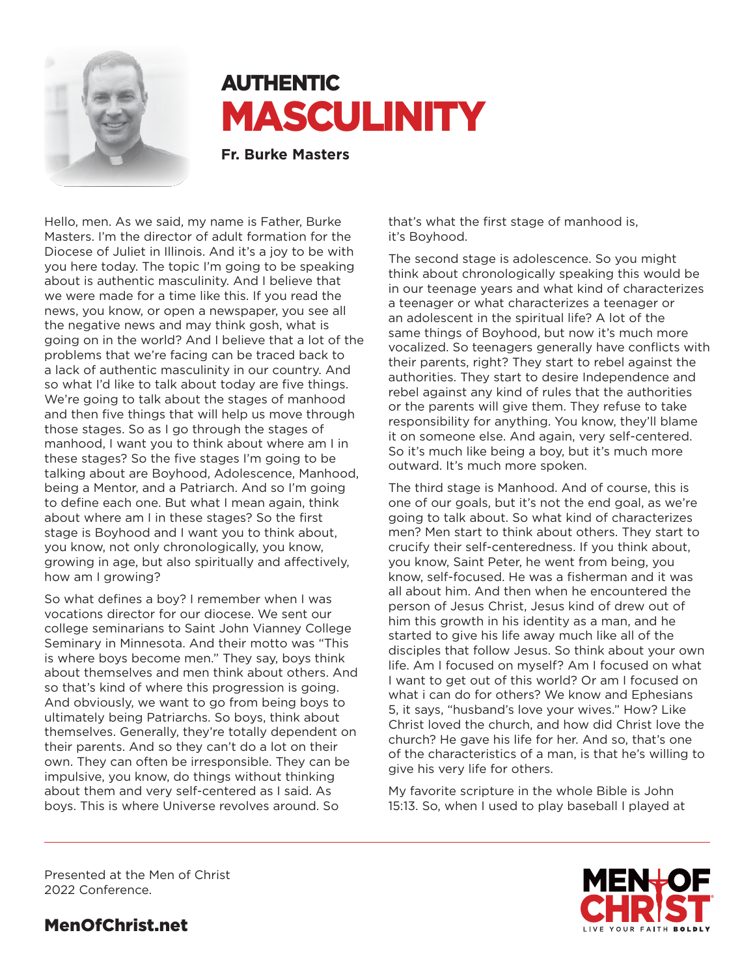

# **AUTHENTIC** MASCULINITY

**Fr. Burke Masters**

Hello, men. As we said, my name is Father, Burke Masters. I'm the director of adult formation for the Diocese of Juliet in Illinois. And it's a joy to be with you here today. The topic I'm going to be speaking about is authentic masculinity. And I believe that we were made for a time like this. If you read the news, you know, or open a newspaper, you see all the negative news and may think gosh, what is going on in the world? And I believe that a lot of the problems that we're facing can be traced back to a lack of authentic masculinity in our country. And so what I'd like to talk about today are five things. We're going to talk about the stages of manhood and then five things that will help us move through those stages. So as I go through the stages of manhood, I want you to think about where am I in these stages? So the five stages I'm going to be talking about are Boyhood, Adolescence, Manhood, being a Mentor, and a Patriarch. And so I'm going to define each one. But what I mean again, think about where am I in these stages? So the first stage is Boyhood and I want you to think about, you know, not only chronologically, you know, growing in age, but also spiritually and affectively, how am I growing?

So what defines a boy? I remember when I was vocations director for our diocese. We sent our college seminarians to Saint John Vianney College Seminary in Minnesota. And their motto was "This is where boys become men." They say, boys think about themselves and men think about others. And so that's kind of where this progression is going. And obviously, we want to go from being boys to ultimately being Patriarchs. So boys, think about themselves. Generally, they're totally dependent on their parents. And so they can't do a lot on their own. They can often be irresponsible. They can be impulsive, you know, do things without thinking about them and very self-centered as I said. As boys. This is where Universe revolves around. So

that's what the first stage of manhood is, it's Boyhood.

The second stage is adolescence. So you might think about chronologically speaking this would be in our teenage years and what kind of characterizes a teenager or what characterizes a teenager or an adolescent in the spiritual life? A lot of the same things of Boyhood, but now it's much more vocalized. So teenagers generally have conflicts with their parents, right? They start to rebel against the authorities. They start to desire Independence and rebel against any kind of rules that the authorities or the parents will give them. They refuse to take responsibility for anything. You know, they'll blame it on someone else. And again, very self-centered. So it's much like being a boy, but it's much more outward. It's much more spoken.

The third stage is Manhood. And of course, this is one of our goals, but it's not the end goal, as we're going to talk about. So what kind of characterizes men? Men start to think about others. They start to crucify their self-centeredness. If you think about, you know, Saint Peter, he went from being, you know, self-focused. He was a fisherman and it was all about him. And then when he encountered the person of Jesus Christ, Jesus kind of drew out of him this growth in his identity as a man, and he started to give his life away much like all of the disciples that follow Jesus. So think about your own life. Am I focused on myself? Am I focused on what I want to get out of this world? Or am I focused on what i can do for others? We know and Ephesians 5, it says, "husband's love your wives." How? Like Christ loved the church, and how did Christ love the church? He gave his life for her. And so, that's one of the characteristics of a man, is that he's willing to give his very life for others.

My favorite scripture in the whole Bible is John 15:13. So, when I used to play baseball I played at



Presented at the Men of Christ 2022 Conference.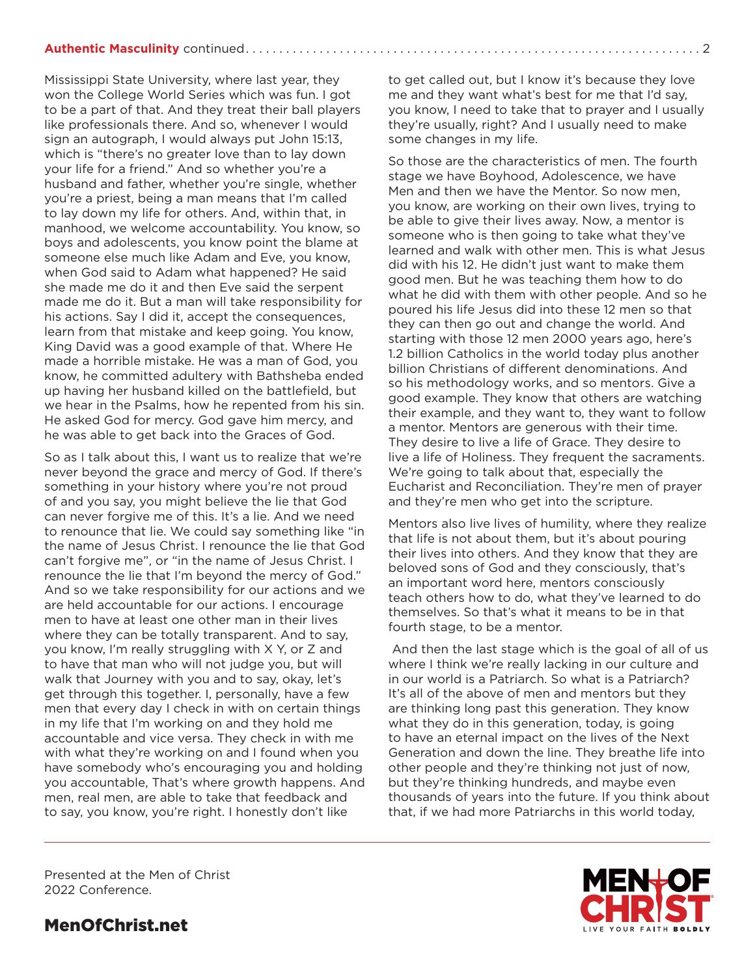#### **Authentic Masculinity** continued. . . 2

Mississippi State University, where last year, they won the College World Series which was fun. I got to be a part of that. And they treat their ball players like professionals there. And so, whenever I would sign an autograph, I would always put John 15:13, which is "there's no greater love than to lay down your life for a friend." And so whether you're a husband and father, whether you're single, whether you're a priest, being a man means that I'm called to lay down my life for others. And, within that, in manhood, we welcome accountability. You know, so boys and adolescents, you know point the blame at someone else much like Adam and Eve, you know, when God said to Adam what happened? He said she made me do it and then Eve said the serpent made me do it. But a man will take responsibility for his actions. Say I did it, accept the consequences, learn from that mistake and keep going. You know, King David was a good example of that. Where He made a horrible mistake. He was a man of God, you know, he committed adultery with Bathsheba ended up having her husband killed on the battlefield, but we hear in the Psalms, how he repented from his sin. He asked God for mercy. God gave him mercy, and he was able to get back into the Graces of God.

So as I talk about this, I want us to realize that we're never beyond the grace and mercy of God. If there's something in your history where you're not proud of and you say, you might believe the lie that God can never forgive me of this. It's a lie. And we need to renounce that lie. We could say something like "in the name of Jesus Christ. I renounce the lie that God can't forgive me", or "in the name of Jesus Christ. I renounce the lie that I'm beyond the mercy of God." And so we take responsibility for our actions and we are held accountable for our actions. I encourage men to have at least one other man in their lives where they can be totally transparent. And to say, you know, I'm really struggling with X Y, or Z and to have that man who will not judge you, but will walk that Journey with you and to say, okay, let's get through this together. I, personally, have a few men that every day I check in with on certain things in my life that I'm working on and they hold me accountable and vice versa. They check in with me with what they're working on and I found when you have somebody who's encouraging you and holding you accountable, That's where growth happens. And men, real men, are able to take that feedback and to say, you know, you're right. I honestly don't like

to get called out, but I know it's because they love me and they want what's best for me that I'd say, you know, I need to take that to prayer and I usually they're usually, right? And I usually need to make some changes in my life.

So those are the characteristics of men. The fourth stage we have Boyhood, Adolescence, we have Men and then we have the Mentor. So now men, you know, are working on their own lives, trying to be able to give their lives away. Now, a mentor is someone who is then going to take what they've learned and walk with other men. This is what Jesus did with his 12. He didn't just want to make them good men. But he was teaching them how to do what he did with them with other people. And so he poured his life Jesus did into these 12 men so that they can then go out and change the world. And starting with those 12 men 2000 years ago, here's 1.2 billion Catholics in the world today plus another billion Christians of different denominations. And so his methodology works, and so mentors. Give a good example. They know that others are watching their example, and they want to, they want to follow a mentor. Mentors are generous with their time. They desire to live a life of Grace. They desire to live a life of Holiness. They frequent the sacraments. We're going to talk about that, especially the Eucharist and Reconciliation. They're men of prayer and they're men who get into the scripture.

Mentors also live lives of humility, where they realize that life is not about them, but it's about pouring their lives into others. And they know that they are beloved sons of God and they consciously, that's an important word here, mentors consciously teach others how to do, what they've learned to do themselves. So that's what it means to be in that fourth stage, to be a mentor.

 And then the last stage which is the goal of all of us where I think we're really lacking in our culture and in our world is a Patriarch. So what is a Patriarch? It's all of the above of men and mentors but they are thinking long past this generation. They know what they do in this generation, today, is going to have an eternal impact on the lives of the Next Generation and down the line. They breathe life into other people and they're thinking not just of now, but they're thinking hundreds, and maybe even thousands of years into the future. If you think about that, if we had more Patriarchs in this world today,

Presented at the Men of Christ 2022 Conference.

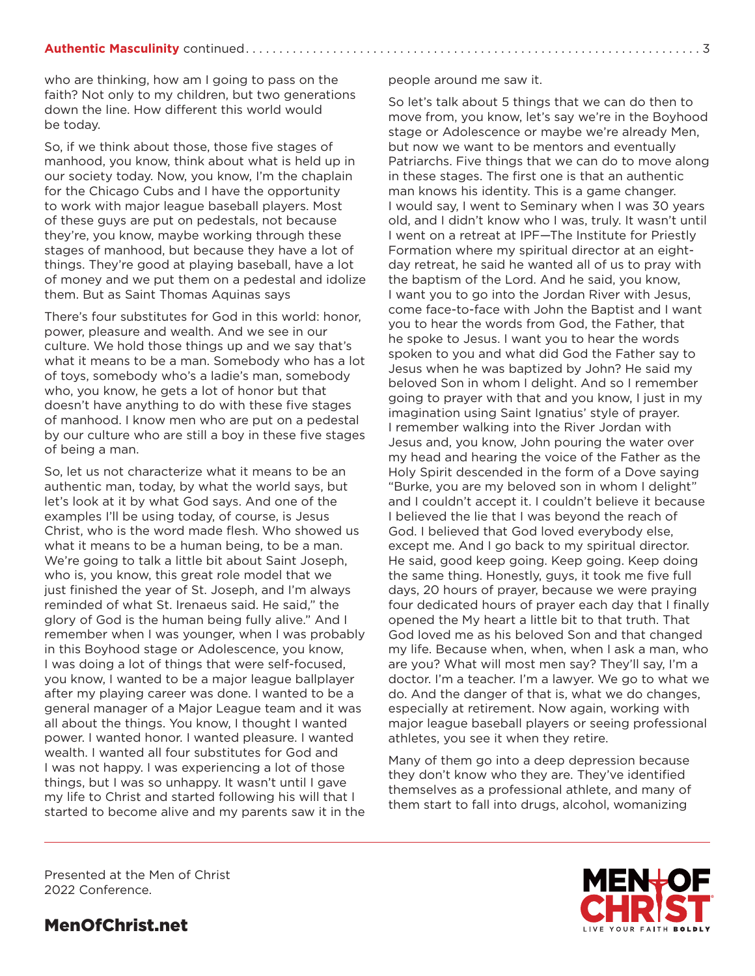#### **Authentic Masculinity** continued. . 3

who are thinking, how am I going to pass on the faith? Not only to my children, but two generations down the line. How different this world would be today.

So, if we think about those, those five stages of manhood, you know, think about what is held up in our society today. Now, you know, I'm the chaplain for the Chicago Cubs and I have the opportunity to work with major league baseball players. Most of these guys are put on pedestals, not because they're, you know, maybe working through these stages of manhood, but because they have a lot of things. They're good at playing baseball, have a lot of money and we put them on a pedestal and idolize them. But as Saint Thomas Aquinas says

There's four substitutes for God in this world: honor, power, pleasure and wealth. And we see in our culture. We hold those things up and we say that's what it means to be a man. Somebody who has a lot of toys, somebody who's a ladie's man, somebody who, you know, he gets a lot of honor but that doesn't have anything to do with these five stages of manhood. I know men who are put on a pedestal by our culture who are still a boy in these five stages of being a man.

So, let us not characterize what it means to be an authentic man, today, by what the world says, but let's look at it by what God says. And one of the examples I'll be using today, of course, is Jesus Christ, who is the word made flesh. Who showed us what it means to be a human being, to be a man. We're going to talk a little bit about Saint Joseph, who is, you know, this great role model that we just finished the year of St. Joseph, and I'm always reminded of what St. Irenaeus said. He said," the glory of God is the human being fully alive." And I remember when I was younger, when I was probably in this Boyhood stage or Adolescence, you know, I was doing a lot of things that were self-focused, you know, I wanted to be a major league ballplayer after my playing career was done. I wanted to be a general manager of a Major League team and it was all about the things. You know, I thought I wanted power. I wanted honor. I wanted pleasure. I wanted wealth. I wanted all four substitutes for God and I was not happy. I was experiencing a lot of those things, but I was so unhappy. It wasn't until I gave my life to Christ and started following his will that I started to become alive and my parents saw it in the

#### people around me saw it.

So let's talk about 5 things that we can do then to move from, you know, let's say we're in the Boyhood stage or Adolescence or maybe we're already Men, but now we want to be mentors and eventually Patriarchs. Five things that we can do to move along in these stages. The first one is that an authentic man knows his identity. This is a game changer. I would say, I went to Seminary when I was 30 years old, and I didn't know who I was, truly. It wasn't until I went on a retreat at IPF—The Institute for Priestly Formation where my spiritual director at an eightday retreat, he said he wanted all of us to pray with the baptism of the Lord. And he said, you know, I want you to go into the Jordan River with Jesus, come face-to-face with John the Baptist and I want you to hear the words from God, the Father, that he spoke to Jesus. I want you to hear the words spoken to you and what did God the Father say to Jesus when he was baptized by John? He said my beloved Son in whom I delight. And so I remember going to prayer with that and you know, I just in my imagination using Saint Ignatius' style of prayer. I remember walking into the River Jordan with Jesus and, you know, John pouring the water over my head and hearing the voice of the Father as the Holy Spirit descended in the form of a Dove saying "Burke, you are my beloved son in whom I delight" and I couldn't accept it. I couldn't believe it because I believed the lie that I was beyond the reach of God. I believed that God loved everybody else, except me. And I go back to my spiritual director. He said, good keep going. Keep going. Keep doing the same thing. Honestly, guys, it took me five full days, 20 hours of prayer, because we were praying four dedicated hours of prayer each day that I finally opened the My heart a little bit to that truth. That God loved me as his beloved Son and that changed my life. Because when, when, when I ask a man, who are you? What will most men say? They'll say, I'm a doctor. I'm a teacher. I'm a lawyer. We go to what we do. And the danger of that is, what we do changes, especially at retirement. Now again, working with major league baseball players or seeing professional athletes, you see it when they retire.

Many of them go into a deep depression because they don't know who they are. They've identified themselves as a professional athlete, and many of them start to fall into drugs, alcohol, womanizing

Presented at the Men of Christ 2022 Conference.

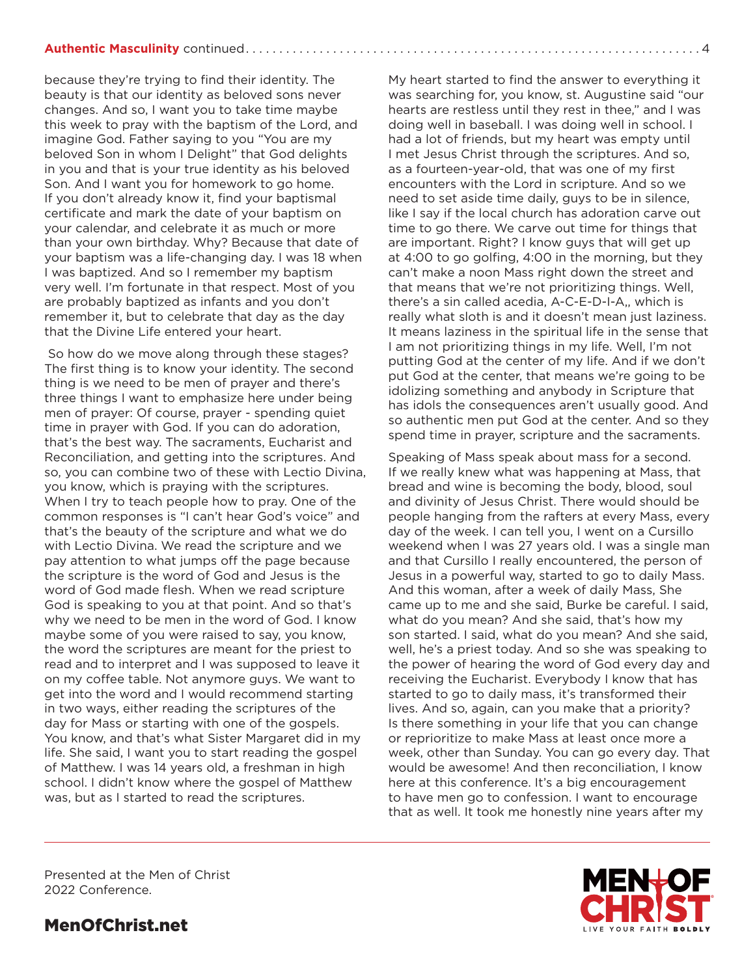because they're trying to find their identity. The beauty is that our identity as beloved sons never changes. And so, I want you to take time maybe this week to pray with the baptism of the Lord, and imagine God. Father saying to you "You are my beloved Son in whom I Delight" that God delights in you and that is your true identity as his beloved Son. And I want you for homework to go home. If you don't already know it, find your baptismal certificate and mark the date of your baptism on your calendar, and celebrate it as much or more than your own birthday. Why? Because that date of your baptism was a life-changing day. I was 18 when I was baptized. And so I remember my baptism very well. I'm fortunate in that respect. Most of you are probably baptized as infants and you don't remember it, but to celebrate that day as the day that the Divine Life entered your heart.

 So how do we move along through these stages? The first thing is to know your identity. The second thing is we need to be men of prayer and there's three things I want to emphasize here under being men of prayer: Of course, prayer - spending quiet time in prayer with God. If you can do adoration, that's the best way. The sacraments, Eucharist and Reconciliation, and getting into the scriptures. And so, you can combine two of these with Lectio Divina, you know, which is praying with the scriptures. When I try to teach people how to pray. One of the common responses is "I can't hear God's voice" and that's the beauty of the scripture and what we do with Lectio Divina. We read the scripture and we pay attention to what jumps off the page because the scripture is the word of God and Jesus is the word of God made flesh. When we read scripture God is speaking to you at that point. And so that's why we need to be men in the word of God. I know maybe some of you were raised to say, you know, the word the scriptures are meant for the priest to read and to interpret and I was supposed to leave it on my coffee table. Not anymore guys. We want to get into the word and I would recommend starting in two ways, either reading the scriptures of the day for Mass or starting with one of the gospels. You know, and that's what Sister Margaret did in my life. She said, I want you to start reading the gospel of Matthew. I was 14 years old, a freshman in high school. I didn't know where the gospel of Matthew was, but as I started to read the scriptures.

My heart started to find the answer to everything it was searching for, you know, st. Augustine said "our hearts are restless until they rest in thee," and I was doing well in baseball. I was doing well in school. I had a lot of friends, but my heart was empty until I met Jesus Christ through the scriptures. And so, as a fourteen-year-old, that was one of my first encounters with the Lord in scripture. And so we need to set aside time daily, guys to be in silence, like I say if the local church has adoration carve out time to go there. We carve out time for things that are important. Right? I know guys that will get up at 4:00 to go golfing, 4:00 in the morning, but they can't make a noon Mass right down the street and that means that we're not prioritizing things. Well, there's a sin called acedia, A-C-E-D-I-A,, which is really what sloth is and it doesn't mean just laziness. It means laziness in the spiritual life in the sense that I am not prioritizing things in my life. Well, I'm not putting God at the center of my life. And if we don't put God at the center, that means we're going to be idolizing something and anybody in Scripture that has idols the consequences aren't usually good. And so authentic men put God at the center. And so they spend time in prayer, scripture and the sacraments.

Speaking of Mass speak about mass for a second. If we really knew what was happening at Mass, that bread and wine is becoming the body, blood, soul and divinity of Jesus Christ. There would should be people hanging from the rafters at every Mass, every day of the week. I can tell you, I went on a Cursillo weekend when I was 27 years old. I was a single man and that Cursillo I really encountered, the person of Jesus in a powerful way, started to go to daily Mass. And this woman, after a week of daily Mass, She came up to me and she said, Burke be careful. I said, what do you mean? And she said, that's how my son started. I said, what do you mean? And she said, well, he's a priest today. And so she was speaking to the power of hearing the word of God every day and receiving the Eucharist. Everybody I know that has started to go to daily mass, it's transformed their lives. And so, again, can you make that a priority? Is there something in your life that you can change or reprioritize to make Mass at least once more a week, other than Sunday. You can go every day. That would be awesome! And then reconciliation, I know here at this conference. It's a big encouragement to have men go to confession. I want to encourage that as well. It took me honestly nine years after my

Presented at the Men of Christ 2022 Conference.

**IVE YOUR FAITH BOLDLY**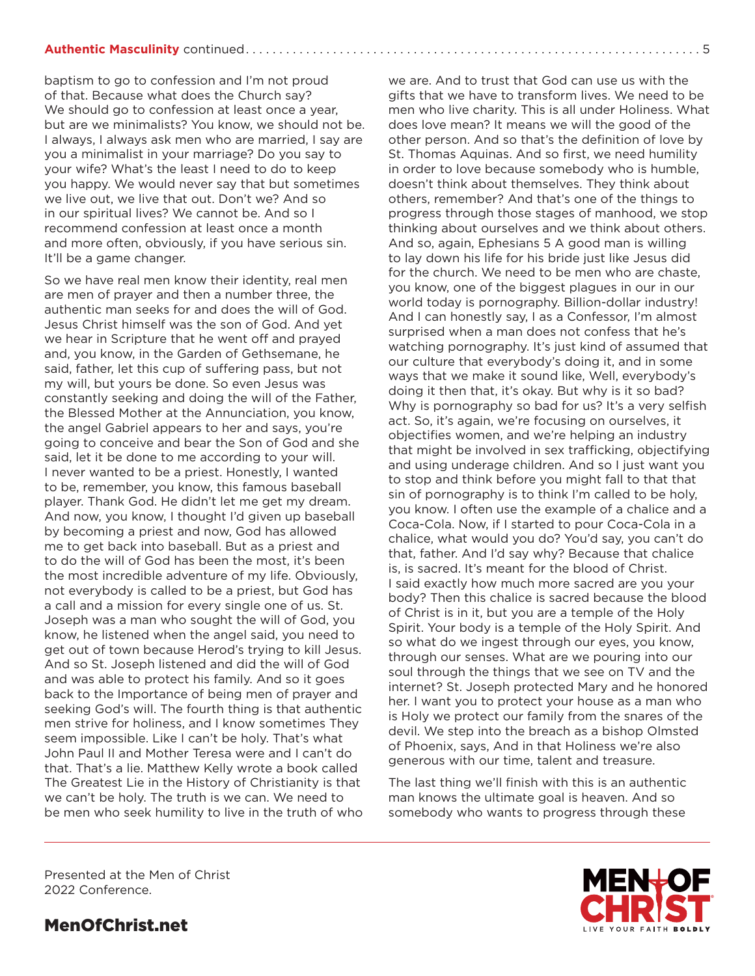baptism to go to confession and I'm not proud of that. Because what does the Church say? We should go to confession at least once a year. but are we minimalists? You know, we should not be. I always, I always ask men who are married, I say are you a minimalist in your marriage? Do you say to your wife? What's the least I need to do to keep you happy. We would never say that but sometimes we live out, we live that out. Don't we? And so in our spiritual lives? We cannot be. And so I recommend confession at least once a month and more often, obviously, if you have serious sin. It'll be a game changer.

So we have real men know their identity, real men are men of prayer and then a number three, the authentic man seeks for and does the will of God. Jesus Christ himself was the son of God. And yet we hear in Scripture that he went off and prayed and, you know, in the Garden of Gethsemane, he said, father, let this cup of suffering pass, but not my will, but yours be done. So even Jesus was constantly seeking and doing the will of the Father, the Blessed Mother at the Annunciation, you know, the angel Gabriel appears to her and says, you're going to conceive and bear the Son of God and she said, let it be done to me according to your will. I never wanted to be a priest. Honestly, I wanted to be, remember, you know, this famous baseball player. Thank God. He didn't let me get my dream. And now, you know, I thought I'd given up baseball by becoming a priest and now, God has allowed me to get back into baseball. But as a priest and to do the will of God has been the most, it's been the most incredible adventure of my life. Obviously, not everybody is called to be a priest, but God has a call and a mission for every single one of us. St. Joseph was a man who sought the will of God, you know, he listened when the angel said, you need to get out of town because Herod's trying to kill Jesus. And so St. Joseph listened and did the will of God and was able to protect his family. And so it goes back to the Importance of being men of prayer and seeking God's will. The fourth thing is that authentic men strive for holiness, and I know sometimes They seem impossible. Like I can't be holy. That's what John Paul II and Mother Teresa were and I can't do that. That's a lie. Matthew Kelly wrote a book called The Greatest Lie in the History of Christianity is that we can't be holy. The truth is we can. We need to be men who seek humility to live in the truth of who we are. And to trust that God can use us with the gifts that we have to transform lives. We need to be men who live charity. This is all under Holiness. What does love mean? It means we will the good of the other person. And so that's the definition of love by St. Thomas Aquinas. And so first, we need humility in order to love because somebody who is humble, doesn't think about themselves. They think about others, remember? And that's one of the things to progress through those stages of manhood, we stop thinking about ourselves and we think about others. And so, again, Ephesians 5 A good man is willing to lay down his life for his bride just like Jesus did for the church. We need to be men who are chaste, you know, one of the biggest plagues in our in our world today is pornography. Billion-dollar industry! And I can honestly say, I as a Confessor, I'm almost surprised when a man does not confess that he's watching pornography. It's just kind of assumed that our culture that everybody's doing it, and in some ways that we make it sound like, Well, everybody's doing it then that, it's okay. But why is it so bad? Why is pornography so bad for us? It's a very selfish act. So, it's again, we're focusing on ourselves, it objectifies women, and we're helping an industry that might be involved in sex trafficking, objectifying and using underage children. And so I just want you to stop and think before you might fall to that that sin of pornography is to think I'm called to be holy, you know. I often use the example of a chalice and a Coca-Cola. Now, if I started to pour Coca-Cola in a chalice, what would you do? You'd say, you can't do that, father. And I'd say why? Because that chalice is, is sacred. It's meant for the blood of Christ. I said exactly how much more sacred are you your body? Then this chalice is sacred because the blood of Christ is in it, but you are a temple of the Holy Spirit. Your body is a temple of the Holy Spirit. And so what do we ingest through our eyes, you know, through our senses. What are we pouring into our soul through the things that we see on TV and the internet? St. Joseph protected Mary and he honored her. I want you to protect your house as a man who is Holy we protect our family from the snares of the devil. We step into the breach as a bishop Olmsted of Phoenix, says, And in that Holiness we're also generous with our time, talent and treasure.

The last thing we'll finish with this is an authentic man knows the ultimate goal is heaven. And so somebody who wants to progress through these

Presented at the Men of Christ 2022 Conference.